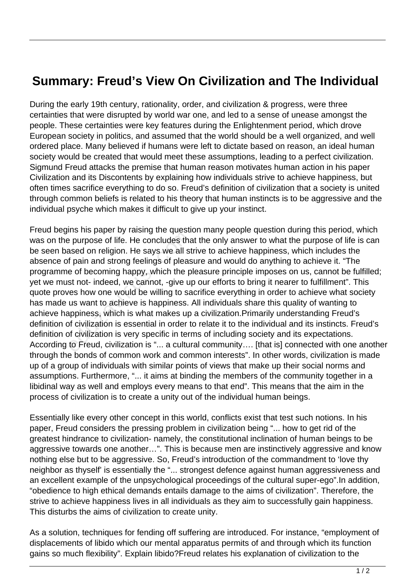## **Summary: Freud's View On Civilization and The Individual**

During the early 19th century, rationality, order, and civilization & progress, were three certainties that were disrupted by world war one, and led to a sense of unease amongst the people. These certainties were key features during the Enlightenment period, which drove European society in politics, and assumed that the world should be a well organized, and well ordered place. Many believed if humans were left to dictate based on reason, an ideal human society would be created that would meet these assumptions, leading to a perfect civilization. Sigmund Freud attacks the premise that human reason motivates human action in his paper Civilization and its Discontents by explaining how individuals strive to achieve happiness, but often times sacrifice everything to do so. Freud's definition of civilization that a society is united through common beliefs is related to his theory that human instincts is to be aggressive and the individual psyche which makes it difficult to give up your instinct.

Freud begins his paper by raising the question many people question during this period, which was on the purpose of life. He concludes that the only answer to what the purpose of life is can be seen based on religion. He says we all strive to achieve happiness, which includes the absence of pain and strong feelings of pleasure and would do anything to achieve it. "The programme of becoming happy, which the pleasure principle imposes on us, cannot be fulfilled; yet we must not- indeed, we cannot, -give up our efforts to bring it nearer to fulfillment". This quote proves how one would be willing to sacrifice everything in order to achieve what society has made us want to achieve is happiness. All individuals share this quality of wanting to achieve happiness, which is what makes up a civilization.Primarily understanding Freud's definition of civilization is essential in order to relate it to the individual and its instincts. Freud's definition of civilization is very specific in terms of including society and its expectations. According to Freud, civilization is "... a cultural community…. [that is] connected with one another through the bonds of common work and common interests". In other words, civilization is made up of a group of individuals with similar points of views that make up their social norms and assumptions. Furthermore, "... it aims at binding the members of the community together in a libidinal way as well and employs every means to that end". This means that the aim in the process of civilization is to create a unity out of the individual human beings. example in the concludes that<br>ased on religion. He says we all st<br>f pain and strong feelings of pleas<br>e of becoming happy, which the p<br>st not- indeed, we cannot, -give up<br>res how one would be willing to sa<br>us want to achie

Essentially like every other concept in this world, conflicts exist that test such notions. In his paper, Freud considers the pressing problem in civilization being "... how to get rid of the greatest hindrance to civilization- namely, the constitutional inclination of human beings to be aggressive towards one another…". This is because men are instinctively aggressive and know nothing else but to be aggressive. So, Freud's introduction of the commandment to 'love thy neighbor as thyself' is essentially the "... strongest defence against human aggressiveness and an excellent example of the unpsychological proceedings of the cultural super-ego".In addition, "obedience to high ethical demands entails damage to the aims of civilization". Therefore, the strive to achieve happiness lives in all individuals as they aim to successfully gain happiness. This disturbs the aims of civilization to create unity.

As a solution, techniques for fending off suffering are introduced. For instance, "employment of displacements of libido which our mental apparatus permits of and through which its function gains so much flexibility". Explain libido?Freud relates his explanation of civilization to the